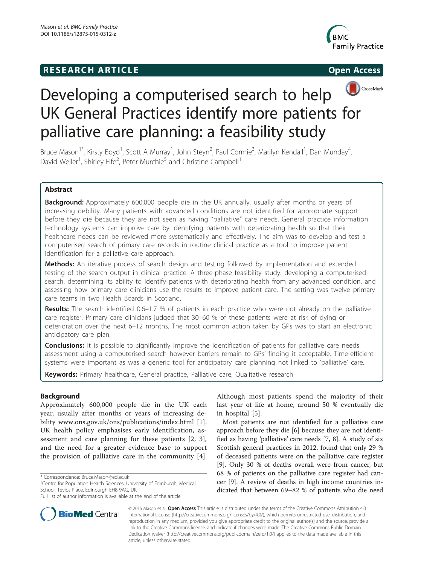## R E S EAR CH A R TIC L E Open Access





# Developing a computerised search to help UK General Practices identify more patients for palliative care planning: a feasibility study

Bruce Mason<sup>1\*</sup>, Kirsty Boyd<sup>1</sup>, Scott A Murray<sup>1</sup>, John Steyn<sup>2</sup>, Paul Cormie<sup>3</sup>, Marilyn Kendall<sup>1</sup>, Dan Munday<sup>4</sup> , David Weller<sup>1</sup>, Shirley Fife<sup>2</sup>, Peter Murchie<sup>5</sup> and Christine Campbell<sup>1</sup>

## Abstract

**Background:** Approximately 600,000 people die in the UK annually, usually after months or years of increasing debility. Many patients with advanced conditions are not identified for appropriate support before they die because they are not seen as having "palliative" care needs. General practice information technology systems can improve care by identifying patients with deteriorating health so that their healthcare needs can be reviewed more systematically and effectively. The aim was to develop and test a computerised search of primary care records in routine clinical practice as a tool to improve patient identification for a palliative care approach.

Methods: An iterative process of search design and testing followed by implementation and extended testing of the search output in clinical practice. A three-phase feasibility study: developing a computerised search, determining its ability to identify patients with deteriorating health from any advanced condition, and assessing how primary care clinicians use the results to improve patient care. The setting was twelve primary care teams in two Health Boards in Scotland.

Results: The search identified 0.6-1.7 % of patients in each practice who were not already on the palliative care register. Primary care clinicians judged that 30–60 % of these patients were at risk of dying or deterioration over the next 6–12 months. The most common action taken by GPs was to start an electronic anticipatory care plan.

**Conclusions:** It is possible to significantly improve the identification of patients for palliative care needs assessment using a computerised search however barriers remain to GPs' finding it acceptable. Time-efficient systems were important as was a generic tool for anticipatory care planning not linked to 'palliative' care.

Keywords: Primary healthcare, General practice, Palliative care, Qualitative research

## Background

Approximately 600,000 people die in the UK each year, usually after months or years of increasing debility www.ons.gov.uk/ons/publications/index.html [1]. UK health policy emphasises early identification, assessment and care planning for these patients [2, 3], and the need for a greater evidence base to support the provision of palliative care in the community [4].

<sup>1</sup> Centre for Population Health Sciences, University of Edinburgh, Medical School, Teviot Place, Edinburgh EH8 9AG, UK



Most patients are not identified for a palliative care approach before they die [6] because they are not identified as having 'palliative' care needs [7, 8]. A study of six Scottish general practices in 2012, found that only 29 % of deceased patients were on the palliative care register [9]. Only 30 % of deaths overall were from cancer, but 68 % of patients on the palliative care register had cancer [9]. A review of deaths in high income countries indicated that between 69–82 % of patients who die need



© 2015 Mason et al. Open Access This article is distributed under the terms of the Creative Commons Attribution 4.0 International License (http://creativecommons.org/licenses/by/4.0/), which permits unrestricted use, distribution, and reproduction in any medium, provided you give appropriate credit to the original author(s) and the source, provide a link to the Creative Commons license, and indicate if changes were made. The Creative Commons Public Domain Dedication waiver (http://creativecommons.org/publicdomain/zero/1.0/) applies to the data made available in this article, unless otherwise stated.

<sup>\*</sup> Correspondence: Bruce.Mason@ed.ac.uk <sup>1</sup>

Full list of author information is available at the end of the article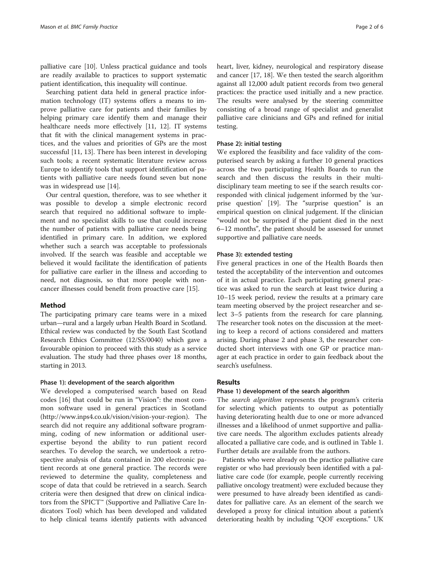palliative care [10]. Unless practical guidance and tools are readily available to practices to support systematic patient identification, this inequality will continue.

Searching patient data held in general practice information technology (IT) systems offers a means to improve palliative care for patients and their families by helping primary care identify them and manage their healthcare needs more effectively [11, 12]. IT systems that fit with the clinical management systems in practices, and the values and priorities of GPs are the most successful [11, 13]. There has been interest in developing such tools; a recent systematic literature review across Europe to identify tools that support identification of patients with palliative care needs found seven but none was in widespread use [14].

Our central question, therefore, was to see whether it was possible to develop a simple electronic record search that required no additional software to implement and no specialist skills to use that could increase the number of patients with palliative care needs being identified in primary care. In addition, we explored whether such a search was acceptable to professionals involved. If the search was feasible and acceptable we believed it would facilitate the identification of patients for palliative care earlier in the illness and according to need, not diagnosis, so that more people with noncancer illnesses could benefit from proactive care [15].

## Method

The participating primary care teams were in a mixed urban—rural and a largely urban Health Board in Scotland. Ethical review was conducted by the South East Scotland Research Ethics Committee (12/SS/0040) which gave a favourable opinion to proceed with this study as a service evaluation. The study had three phases over 18 months, starting in 2013.

## Phase 1): development of the search algorithm

We developed a computerised search based on Read codes [16] that could be run in "Vision": the most common software used in general practices in Scotland (http://www.inps4.co.uk/vision/vision-your-region). The search did not require any additional software programming, coding of new information or additional userexpertise beyond the ability to run patient record searches. To develop the search, we undertook a retrospective analysis of data contained in 200 electronic patient records at one general practice. The records were reviewed to determine the quality, completeness and scope of data that could be retrieved in a search. Search criteria were then designed that drew on clinical indicators from the SPICT™ (Supportive and Palliative Care Indicators Tool) which has been developed and validated to help clinical teams identify patients with advanced heart, liver, kidney, neurological and respiratory disease and cancer [17, 18]. We then tested the search algorithm against all 12,000 adult patient records from two general practices: the practice used initially and a new practice. The results were analysed by the steering committee consisting of a broad range of specialist and generalist palliative care clinicians and GPs and refined for initial testing.

## Phase 2): initial testing

We explored the feasibility and face validity of the computerised search by asking a further 10 general practices across the two participating Health Boards to run the search and then discuss the results in their multidisciplinary team meeting to see if the search results corresponded with clinical judgement informed by the 'surprise question' [19]. The "surprise question" is an empirical question on clinical judgement. If the clinician "would not be surprised if the patient died in the next 6–12 months", the patient should be assessed for unmet supportive and palliative care needs.

## Phase 3): extended testing

Five general practices in one of the Health Boards then tested the acceptability of the intervention and outcomes of it in actual practice. Each participating general practice was asked to run the search at least twice during a 10–15 week period, review the results at a primary care team meeting observed by the project researcher and select 3–5 patients from the research for care planning. The researcher took notes on the discussion at the meeting to keep a record of actions considered and matters arising. During phase 2 and phase 3, the researcher conducted short interviews with one GP or practice manager at each practice in order to gain feedback about the search's usefulness.

## Results

## Phase 1) development of the search algorithm

The *search algorithm* represents the program's criteria for selecting which patients to output as potentially having deteriorating health due to one or more advanced illnesses and a likelihood of unmet supportive and palliative care needs. The algorithm excludes patients already allocated a palliative care code, and is outlined in Table 1. Further details are available from the authors.

Patients who were already on the practice palliative care register or who had previously been identified with a palliative care code (for example, people currently receiving palliative oncology treatment) were excluded because they were presumed to have already been identified as candidates for palliative care. As an element of the search we developed a proxy for clinical intuition about a patient's deteriorating health by including "QOF exceptions." UK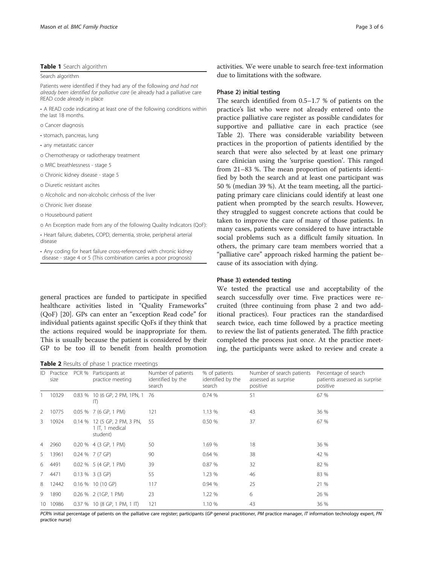#### Table 1 Search algorithm

| Search algorithm                                                                                                                                                                     | due to lim                                                                                                                                                                                                                                                            |
|--------------------------------------------------------------------------------------------------------------------------------------------------------------------------------------|-----------------------------------------------------------------------------------------------------------------------------------------------------------------------------------------------------------------------------------------------------------------------|
| Patients were identified if they had any of the following and had not<br>already been identified for palliative care (ie already had a palliative care<br>READ code already in place | Phase 2) in<br>The searcl                                                                                                                                                                                                                                             |
| • A READ code indicating at least one of the following conditions within<br>the last 18 months.                                                                                      | practice's<br>practice pa                                                                                                                                                                                                                                             |
| o Cancer diagnosis                                                                                                                                                                   | supportive                                                                                                                                                                                                                                                            |
| • stomach, pancreas, lung                                                                                                                                                            | Table 2).                                                                                                                                                                                                                                                             |
| • any metastatic cancer                                                                                                                                                              | practices i                                                                                                                                                                                                                                                           |
| o Chemotherapy or radiotherapy treatment                                                                                                                                             | search tha                                                                                                                                                                                                                                                            |
| o MRC breathlessness - stage 5                                                                                                                                                       | care clinic<br>from $21-\epsilon$                                                                                                                                                                                                                                     |
| o Chronic kidney disease - stage 5                                                                                                                                                   | fied by bo                                                                                                                                                                                                                                                            |
| o Diuretic resistant ascites                                                                                                                                                         | 50 % (med                                                                                                                                                                                                                                                             |
| o Alcoholic and non-alcoholic cirrhosis of the liver                                                                                                                                 | pating prii                                                                                                                                                                                                                                                           |
| o Chronic liver disease                                                                                                                                                              | patient wh                                                                                                                                                                                                                                                            |
| o Housebound patient                                                                                                                                                                 | they strug                                                                                                                                                                                                                                                            |
| o An Exception made from any of the following Quality Indicators (QoF):                                                                                                              | taken to in                                                                                                                                                                                                                                                           |
| · Heart failure, diabetes, COPD, dementia, stroke, peripheral arterial<br>disease                                                                                                    | many case<br>social pro                                                                                                                                                                                                                                               |
| • Any coding for heart failure cross-referenced with chronic kidney<br>disease - stage 4 or 5 (This combination carries a poor prognosis)                                            | others, the<br>"palliative<br>$\mathcal{C}$ . The state $\mathcal{C}$ is the state of the state of the state of the state of the state of the state of the state of the state of the state of the state of the state of the state of the state of the state of the st |

general practices are funded to participate in specified healthcare activities listed in "Quality Frameworks" (QoF) [20]. GPs can enter an "exception Read code" for individual patients against specific QoFs if they think that the actions required would be inappropriate for them. This is usually because the patient is considered by their GP to be too ill to benefit from health promotion

Table 2 Results of phase 1 practice meetings

activities. We were unable to search free-text information due to limitations with the software.

#### hitial testing

h identified from  $0.5-1.7$  % of patients on the list who were not already entered onto the alliative care register as possible candidates for and palliative care in each practice (see There was considerable variability between in the proportion of patients identified by the at were also selected by at least one primary cian using the 'surprise question'. This ranged 33 %. The mean proportion of patients identith the search and at least one participant was lian 39 %). At the team meeting, all the particimary care clinicians could identify at least one nen prompted by the search results. However, gled to suggest concrete actions that could be mprove the care of many of those patients. In es, patients were considered to have intractable blems such as a difficult family situation. In e primary care team members worried that a care" approach risked harming the patient because of its association with dying.

## Phase 3) extended testing

We tested the practical use and acceptability of the search successfully over time. Five practices were recruited (three continuing from phase 2 and two additional practices). Four practices ran the standardised search twice, each time followed by a practice meeting to review the list of patients generated. The fifth practice completed the process just once. At the practice meeting, the participants were asked to review and create a

| $\blacksquare$ reserve the primary intervalsed intervalsed |                  |       |                                                             |                                                   |                                              |                                                               |                                                                   |
|------------------------------------------------------------|------------------|-------|-------------------------------------------------------------|---------------------------------------------------|----------------------------------------------|---------------------------------------------------------------|-------------------------------------------------------------------|
| ID                                                         | Practice<br>size | PCR % | Participants at<br>practice meeting                         | Number of patients<br>identified by the<br>search | % of patients<br>identified by the<br>search | Number of search patients<br>assessed as surprise<br>positive | Percentage of search<br>patients assessed as surprise<br>positive |
|                                                            | 10329            |       | 0.83 % 10 (6 GP, 2 PM, 1PN, 1 76<br>$ T\rangle$             |                                                   | 0.74%                                        | 51                                                            | 67 %                                                              |
| $\overline{2}$                                             | 10775            |       | 0.05 % 7 (6 GP, 1 PM)                                       | 121                                               | 1.13 %                                       | 43                                                            | 36 %                                                              |
| 3                                                          | 10924            |       | 0.14 % 12 (5 GP, 2 PM, 3 PN,<br>1 IT, 1 medical<br>student) | 55                                                | 0.50 %                                       | 37                                                            | 67 %                                                              |
| 4                                                          | 2960             |       | 0.20 % 4 (3 GP, 1 PM)                                       | 50                                                | 1.69 %                                       | 18                                                            | 36 %                                                              |
| 5                                                          | 13961            |       | 0.24 % 7 (7 GP)                                             | 90                                                | 0.64%                                        | 38                                                            | 42 %                                                              |
| 6                                                          | 4491             |       | 0.02 % 5 (4 GP, 1 PM)                                       | 39                                                | 0.87 %                                       | 32                                                            | 82 %                                                              |
|                                                            | 4471             |       | $0.13\%$ 3 (3 GP)                                           | 55                                                | 1.23 %                                       | 46                                                            | 83 %                                                              |
| 8                                                          | 12442            |       | 0.16 % 10 (10 GP)                                           | 117                                               | 0.94%                                        | 25                                                            | 21 %                                                              |
| 9                                                          | 1890             |       | 0.26 % 2 (1GP, 1 PM)                                        | 23                                                | 1.22 %                                       | 6                                                             | 26 %                                                              |
| 10                                                         | 10986            |       | $0.37\%$ 10 (8 GP, 1 PM, 1 IT)                              | 121                                               | 1.10 %                                       | 43                                                            | 36 %                                                              |

PCR% initial percentage of patients on the palliative care register; participants (GP general practitioner, PM practice manager, IT information technology expert, PN practice nurse)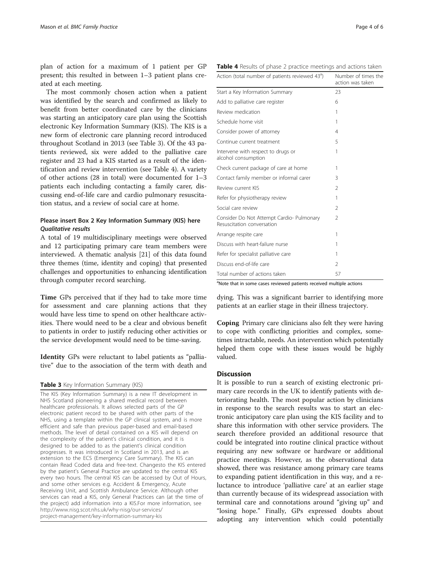plan of action for a maximum of 1 patient per GP present; this resulted in between 1–3 patient plans created at each meeting.

The most commonly chosen action when a patient was identified by the search and confirmed as likely to benefit from better coordinated care by the clinicians was starting an anticipatory care plan using the Scottish electronic Key Information Summary (KIS). The KIS is a new form of electronic care planning record introduced throughout Scotland in 2013 (see Table 3). Of the 43 patients reviewed, six were added to the palliative care register and 23 had a KIS started as a result of the identification and review intervention (see Table 4). A variety of other actions (28 in total) were documented for 1–3 patients each including contacting a family carer, discussing end-of-life care and cardio pulmonary resuscitation status, and a review of social care at home.

## Please insert Box 2 Key Information Summary (KIS) here Qualitative results

A total of 19 multidisciplinary meetings were observed and 12 participating primary care team members were interviewed. A thematic analysis [21] of this data found three themes (time, identity and coping) that presented challenges and opportunities to enhancing identification through computer record searching.

Time GPs perceived that if they had to take more time for assessment and care planning actions that they would have less time to spend on other healthcare activities. There would need to be a clear and obvious benefit to patients in order to justify reducing other activities or the service development would need to be time-saving.

Identity GPs were reluctant to label patients as "palliative" due to the association of the term with death and

#### Table 3 Key Information Summary (KIS)

The KIS (Key Information Summary) is a new IT development in NHS Scotland pioneering a shared medical record between healthcare professionals. It allows selected parts of the GP electronic patient record to be shared with other parts of the NHS, using a template within the GP clinical system, and is more efficient and safe than previous paper-based and email-based methods. The level of detail contained on a KIS will depend on the complexity of the patient's clinical condition, and it is designed to be added to as the patient's clinical condition progresses. It was introduced in Scotland in 2013, and is an extension to the ECS (Emergency Care Summary). The KIS can contain Read Coded data and free-text. Changesto the KIS entered by the patient's General Practice are updated to the central KIS every two hours. The central KIS can be accessed by Out of Hours, and some other services e.g. Accident & Emergency, Acute Receiving Unit, and Scottish Ambulance Service. Although other services can read a KIS, only General Practices can (at the time of the project) add information into a KIS.For more information, see http://www.nisg.scot.nhs.uk/why-nisg/our-services/ project-management/key-information-summary-kis

|  |  |  |  |  |  |  |  | <b>Table 4</b> Results of phase 2 practice meetings and actions taken |  |  |  |
|--|--|--|--|--|--|--|--|-----------------------------------------------------------------------|--|--|--|
|--|--|--|--|--|--|--|--|-----------------------------------------------------------------------|--|--|--|

| Action (total number of patients reviewed 43 <sup>a</sup> )             | Number of times the<br>action was taken |
|-------------------------------------------------------------------------|-----------------------------------------|
| Start a Key Information Summary                                         | 23                                      |
| Add to palliative care register                                         | 6                                       |
| Review medication                                                       | 1                                       |
| Schedule home visit                                                     | 1                                       |
| Consider power of attorney                                              | 4                                       |
| Continue current treatment                                              | 5                                       |
| Intervene with respect to drugs or<br>alcohol consumption               | 1                                       |
| Check current package of care at home                                   | 1                                       |
| Contact family member or informal carer                                 | 3                                       |
| Review current KIS                                                      | $\mathfrak{D}$                          |
| Refer for physiotherapy review                                          | 1                                       |
| Social care review                                                      | $\mathfrak{D}$                          |
| Consider Do Not Attempt Cardio- Pulmonary<br>Resuscitation conversation | C.                                      |
| Arrange respite care                                                    | 1                                       |
| Discuss with heart-failure nurse                                        | 1                                       |
| Refer for specialist palliative care                                    | 1                                       |
| Discuss end-of-life care                                                | $\mathfrak{D}$                          |
| Total number of actions taken                                           | 57                                      |

<sup>a</sup>Note that in some cases reviewed patients received multiple actions

dying. This was a significant barrier to identifying more patients at an earlier stage in their illness trajectory.

Coping Primary care clinicians also felt they were having to cope with conflicting priorities and complex, sometimes intractable, needs. An intervention which potentially helped them cope with these issues would be highly valued.

#### Discussion

It is possible to run a search of existing electronic primary care records in the UK to identify patients with deteriorating health. The most popular action by clinicians in response to the search results was to start an electronic anticipatory care plan using the KIS facility and to share this information with other service providers. The search therefore provided an additional resource that could be integrated into routine clinical practice without requiring any new software or hardware or additional practice meetings. However, as the observational data showed, there was resistance among primary care teams to expanding patient identification in this way, and a reluctance to introduce 'palliative care' at an earlier stage than currently because of its widespread association with terminal care and connotations around "giving up" and "losing hope." Finally, GPs expressed doubts about adopting any intervention which could potentially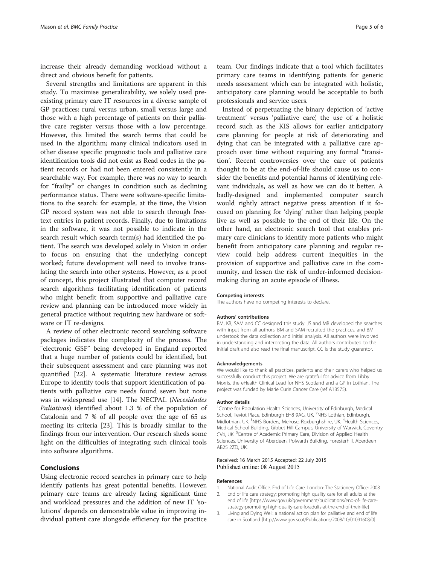increase their already demanding workload without a direct and obvious benefit for patients.

Several strengths and limitations are apparent in this study. To maximise generalizability, we solely used preexisting primary care IT resources in a diverse sample of GP practices: rural versus urban, small versus large and those with a high percentage of patients on their palliative care register versus those with a low percentage. However, this limited the search terms that could be used in the algorithm; many clinical indicators used in other disease specific prognostic tools and palliative care identification tools did not exist as Read codes in the patient records or had not been entered consistently in a searchable way. For example, there was no way to search for "frailty" or changes in condition such as declining performance status. There were software-specific limitations to the search: for example, at the time, the Vision GP record system was not able to search through freetext entries in patient records. Finally, due to limitations in the software, it was not possible to indicate in the search result which search term(s) had identified the patient. The search was developed solely in Vision in order to focus on ensuring that the underlying concept worked; future development will need to involve translating the search into other systems. However, as a proof of concept, this project illustrated that computer record search algorithms facilitating identification of patients who might benefit from supportive and palliative care review and planning can be introduced more widely in general practice without requiring new hardware or software or IT re-designs.

A review of other electronic record searching software packages indicates the complexity of the process. The "electronic GSF" being developed in England reported that a huge number of patients could be identified, but their subsequent assessment and care planning was not quantified [22]. A systematic literature review across Europe to identify tools that support identification of patients with palliative care needs found seven but none was in widespread use [14]. The NECPAL (Necesidades Paliativas) identified about 1.3 % of the population of Catalonia and 7 % of all people over the age of 65 as meeting its criteria [23]. This is broadly similar to the findings from our intervention. Our research sheds some light on the difficulties of integrating such clinical tools into software algorithms.

## **Conclusions**

Using electronic record searches in primary care to help identify patients has great potential benefits. However, primary care teams are already facing significant time and workload pressures and the addition of new IT 'solutions' depends on demonstrable value in improving individual patient care alongside efficiency for the practice team. Our findings indicate that a tool which facilitates primary care teams in identifying patients for generic needs assessment which can be integrated with holistic, anticipatory care planning would be acceptable to both professionals and service users.

Instead of perpetuating the binary depiction of 'active treatment' versus 'palliative care', the use of a holistic record such as the KIS allows for earlier anticipatory care planning for people at risk of deteriorating and dying that can be integrated with a palliative care approach over time without requiring any formal "transition'. Recent controversies over the care of patients thought to be at the end-of-life should cause us to consider the benefits and potential harms of identifying relevant individuals, as well as how we can do it better. A badly-designed and implemented computer search would rightly attract negative press attention if it focused on planning for 'dying' rather than helping people live as well as possible to the end of their life. On the other hand, an electronic search tool that enables primary care clinicians to identify more patients who might benefit from anticipatory care planning and regular review could help address current inequities in the provision of supportive and palliative care in the community, and lessen the risk of under-informed decisionmaking during an acute episode of illness.

#### Competing interests

The authors have no competing interests to declare.

#### Authors' contributions

BM, KB, SAM and CC designed this study. JS and MB developed the searches with input from all authors. BM and SAM recruited the practices, and BM undertook the data collection and initial analysis. All authors were involved in understanding and interpreting the data. All authors contributed to the initial draft and also read the final manuscript. CC is the study guarantor.

#### Acknowledgements

We would like to thank all practices, patients and their carers who helped us successfully conduct this project. We are grateful for advice from Libby Morris, the eHealth Clinical Lead for NHS Scotland and a GP in Lothian. The project was funded by Marie Curie Cancer Care (ref A13575).

#### Author details

<sup>1</sup> Centre for Population Health Sciences, University of Edinburgh, Medical School, Teviot Place, Edinburgh EH8 9AG, UK. <sup>2</sup>NHS Lothian, Edinburgh, Midlothian, UK. <sup>3</sup>NHS Borders, Melrose, Roxburghshire, UK. <sup>4</sup>Health Sciences, Medical School Building, Gibbet Hill Campus, University of Warwick, Coventry CV4, UK.<sup>5</sup> Centre of Academic Primary Care, Division of Applied Health Sciences, University of Aberdeen, Polwarth Building, Foresterhill, Aberdeen AB25 2ZD, UK.

#### Received: 16 March 2015 Accepted: 22 July 2015 Published online: 08 August 2015

#### References

- 1. National Audit Office. End of Life Care. London: The Stationery Office; 2008. 2. End of life care strategy: promoting high quality care for all adults at the
- end of life [https://www.gov.uk/government/publications/end-of-life-carestrategy-promoting-high-quality-care-foradults-at-the-end-of-their-life]
- 3. Living and Dying Well: a national action plan for palliative and end of life care in Scotland [http://www.gov.scot/Publications/2008/10/01091608/0]